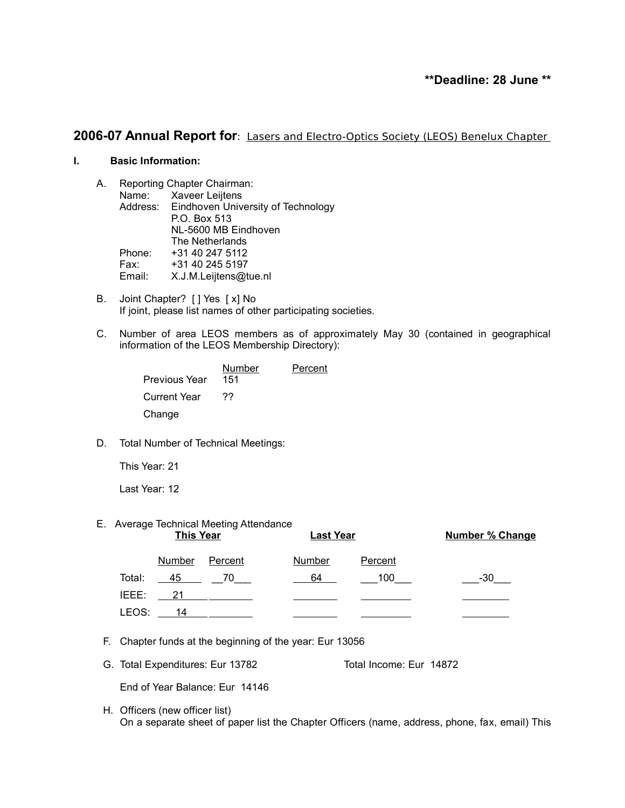# **\*\*Deadline: 28 June \*\***

# **2006-07 Annual Report for**: Lasers and Electro-Optics Society (LEOS) Benelux Chapter

# **I. Basic Information:**

- A. Reporting Chapter Chairman: Name: Xaveer Leijtens Address: Eindhoven University of Technology P.O. Box 513 NL-5600 MB Eindhoven The Netherlands Phone: +31 40 247 5112 Fax: +31 40 245 5197 Email: X.J.M.Leijtens@tue.nl
- B. Joint Chapter? [ ] Yes [ x] No If joint, please list names of other participating societies.
- C. Number of area LEOS members as of approximately May 30 (contained in geographical information of the LEOS Membership Directory):

| <b>Previous Year</b> | Number<br>151 | Percent |
|----------------------|---------------|---------|
| <b>Current Year</b>  | 77            |         |
| Change               |               |         |

D. Total Number of Technical Meetings:

This Year: 21

Last Year: 12

#### E. Average Technical Meeting Attendance

|        | <b>This Year</b> |         | <b>Last Year</b> |                | <b>Number % Change</b> |
|--------|------------------|---------|------------------|----------------|------------------------|
|        | <b>Number</b>    | Percent | <b>Number</b>    | <b>Percent</b> |                        |
| Total: | 45               | 70      | 64               | 100            | -30                    |
| IEEE:  | 21               |         |                  |                |                        |
| LEOS:  | 14               |         |                  |                |                        |

- F. Chapter funds at the beginning of the year: Eur 13056
- G. Total Expenditures: Eur 13782 Total Income: Eur 14872

End of Year Balance: Eur 14146

H. Officers (new officer list) On a separate sheet of paper list the Chapter Officers (name, address, phone, fax, email) This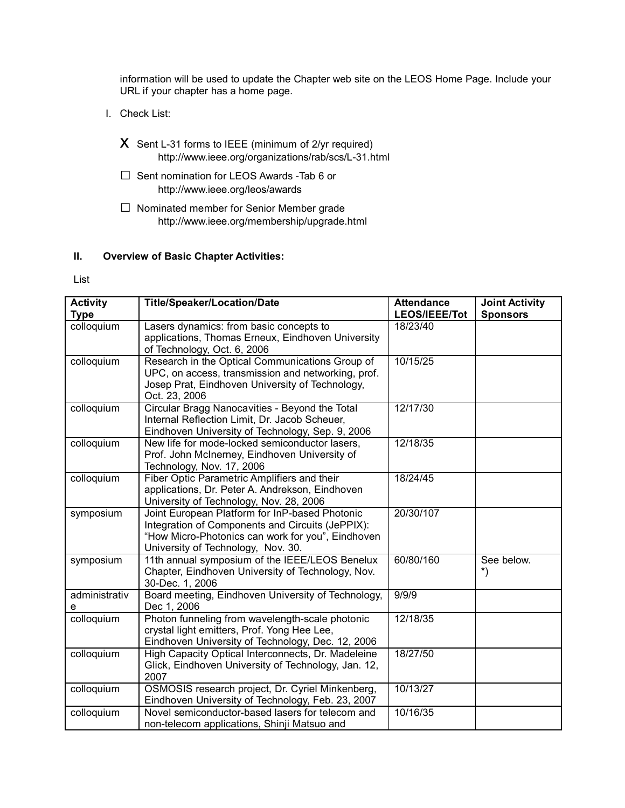information will be used to update the Chapter web site on the LEOS Home Page. Include your URL if your chapter has a home page.

- I. Check List:
	- $X$  Sent L-31 forms to IEEE (minimum of 2/yr required) http://www.ieee.org/organizations/rab/scs/L-31.html
	- □ Sent nomination for LEOS Awards -Tab 6 or http://www.ieee.org/leos/awards
	- □ Nominated member for Senior Member grade http://www.ieee.org/membership/upgrade.html

## **II. Overview of Basic Chapter Activities:**

List

| <b>Activity</b><br><b>Type</b> | <b>Title/Speaker/Location/Date</b>                  | <b>Attendance</b><br>LEOS/IEEE/Tot | <b>Joint Activity</b><br><b>Sponsors</b> |
|--------------------------------|-----------------------------------------------------|------------------------------------|------------------------------------------|
| colloquium                     | Lasers dynamics: from basic concepts to             | 18/23/40                           |                                          |
|                                | applications, Thomas Erneux, Eindhoven University   |                                    |                                          |
|                                | of Technology, Oct. 6, 2006                         |                                    |                                          |
| colloquium                     | Research in the Optical Communications Group of     | 10/15/25                           |                                          |
|                                | UPC, on access, transmission and networking, prof.  |                                    |                                          |
|                                | Josep Prat, Eindhoven University of Technology,     |                                    |                                          |
|                                | Oct. 23, 2006                                       |                                    |                                          |
| colloquium                     | Circular Bragg Nanocavities - Beyond the Total      | 12/17/30                           |                                          |
|                                | Internal Reflection Limit, Dr. Jacob Scheuer,       |                                    |                                          |
|                                | Eindhoven University of Technology, Sep. 9, 2006    |                                    |                                          |
| colloquium                     | New life for mode-locked semiconductor lasers,      | 12/18/35                           |                                          |
|                                | Prof. John McInerney, Eindhoven University of       |                                    |                                          |
|                                | Technology, Nov. 17, 2006                           |                                    |                                          |
| colloquium                     | Fiber Optic Parametric Amplifiers and their         | 18/24/45                           |                                          |
|                                | applications, Dr. Peter A. Andrekson, Eindhoven     |                                    |                                          |
|                                | University of Technology, Nov. 28, 2006             |                                    |                                          |
| symposium                      | Joint European Platform for InP-based Photonic      | 20/30/107                          |                                          |
|                                | Integration of Components and Circuits (JePPIX):    |                                    |                                          |
|                                | "How Micro-Photonics can work for you", Eindhoven   |                                    |                                          |
|                                | University of Technology, Nov. 30.                  |                                    |                                          |
| symposium                      | 11th annual symposium of the IEEE/LEOS Benelux      | 60/80/160                          | See below.                               |
|                                | Chapter, Eindhoven University of Technology, Nov.   |                                    | $\boldsymbol{\dot{ }}$                   |
|                                | 30-Dec. 1, 2006                                     |                                    |                                          |
| administrativ                  | Board meeting, Eindhoven University of Technology,  | 9/9/9                              |                                          |
| е                              | Dec 1, 2006                                         |                                    |                                          |
| colloquium                     | Photon funneling from wavelength-scale photonic     | 12/18/35                           |                                          |
|                                | crystal light emitters, Prof. Yong Hee Lee,         |                                    |                                          |
|                                | Eindhoven University of Technology, Dec. 12, 2006   |                                    |                                          |
| colloquium                     | High Capacity Optical Interconnects, Dr. Madeleine  | 18/27/50                           |                                          |
|                                | Glick, Eindhoven University of Technology, Jan. 12, |                                    |                                          |
|                                | 2007                                                |                                    |                                          |
| colloquium                     | OSMOSIS research project, Dr. Cyriel Minkenberg,    | 10/13/27                           |                                          |
|                                | Eindhoven University of Technology, Feb. 23, 2007   |                                    |                                          |
| colloquium                     | Novel semiconductor-based lasers for telecom and    | 10/16/35                           |                                          |
|                                | non-telecom applications, Shinji Matsuo and         |                                    |                                          |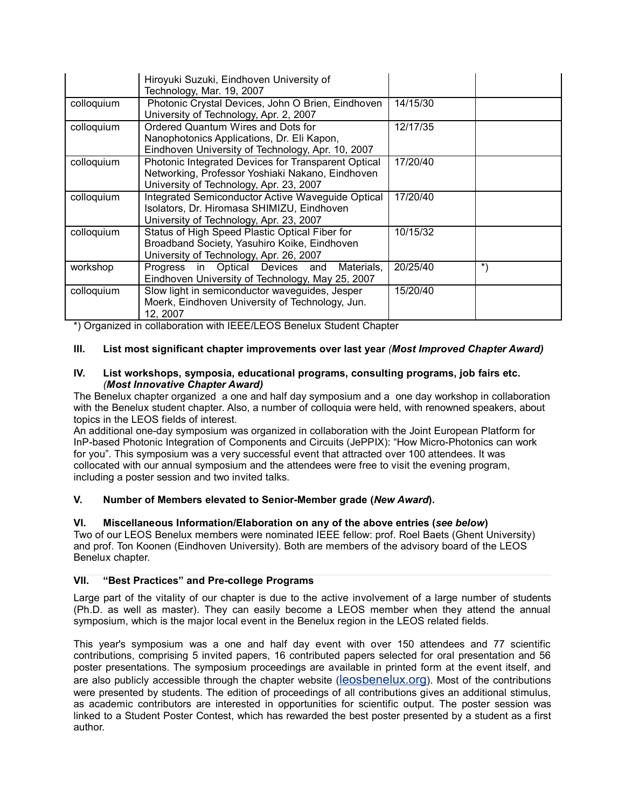|            | Hiroyuki Suzuki, Eindhoven University of<br>Technology, Mar. 19, 2007                                                                              |          |            |
|------------|----------------------------------------------------------------------------------------------------------------------------------------------------|----------|------------|
| colloquium | Photonic Crystal Devices, John O Brien, Eindhoven<br>University of Technology, Apr. 2, 2007                                                        | 14/15/30 |            |
| colloquium | Ordered Quantum Wires and Dots for<br>Nanophotonics Applications, Dr. Eli Kapon,<br>Eindhoven University of Technology, Apr. 10, 2007              | 12/17/35 |            |
| colloquium | Photonic Integrated Devices for Transparent Optical<br>Networking, Professor Yoshiaki Nakano, Eindhoven<br>University of Technology, Apr. 23, 2007 | 17/20/40 |            |
| colloquium | Integrated Semiconductor Active Waveguide Optical<br>Isolators, Dr. Hiromasa SHIMIZU, Eindhoven<br>University of Technology, Apr. 23, 2007         | 17/20/40 |            |
| colloquium | Status of High Speed Plastic Optical Fiber for<br>Broadband Society, Yasuhiro Koike, Eindhoven<br>University of Technology, Apr. 26, 2007          | 10/15/32 |            |
| workshop   | Progress in Optical Devices and Materials,<br>Eindhoven University of Technology, May 25, 2007                                                     | 20/25/40 | $^{\star}$ |
| colloquium | Slow light in semiconductor waveguides, Jesper<br>Moerk, Eindhoven University of Technology, Jun.<br>12, 2007                                      | 15/20/40 |            |

\*) Organized in collaboration with IEEE/LEOS Benelux Student Chapter

## **III. List most significant chapter improvements over last year** *(Most Improved Chapter Award)*

#### **IV. List workshops, symposia, educational programs, consulting programs, job fairs etc.** *(Most Innovative Chapter Award)*

The Benelux chapter organized a one and half day symposium and a one day workshop in collaboration with the Benelux student chapter. Also, a number of colloquia were held, with renowned speakers, about topics in the LEOS fields of interest.

An additional one-day symposium was organized in collaboration with the Joint European Platform for InP-based Photonic Integration of Components and Circuits (JePPIX): "How Micro-Photonics can work for you". This symposium was a very successful event that attracted over 100 attendees. It was collocated with our annual symposium and the attendees were free to visit the evening program, including a poster session and two invited talks.

## **V. Number of Members elevated to Senior-Member grade (***New Award***).**

**VI. Miscellaneous Information/Elaboration on any of the above entries (***see below***)** Two of our LEOS Benelux members were nominated IEEE fellow: prof. Roel Baets (Ghent University) and prof. Ton Koonen (Eindhoven University). Both are members of the advisory board of the LEOS Benelux chapter.

#### **VII. "Best Practices" and Pre-college Programs**

Large part of the vitality of our chapter is due to the active involvement of a large number of students (Ph.D. as well as master). They can easily become a LEOS member when they attend the annual symposium, which is the major local event in the Benelux region in the LEOS related fields.

This year's symposium was a one and half day event with over 150 attendees and 77 scientific contributions, comprising 5 invited papers, 16 contributed papers selected for oral presentation and 56 poster presentations. The symposium proceedings are available in printed form at the event itself, and are also publicly accessible through the chapter website ([leosbenelux.org](http://leosbenelux.org/)). Most of the contributions were presented by students. The edition of proceedings of all contributions gives an additional stimulus, as academic contributors are interested in opportunities for scientific output. The poster session was linked to a Student Poster Contest, which has rewarded the best poster presented by a student as a first author.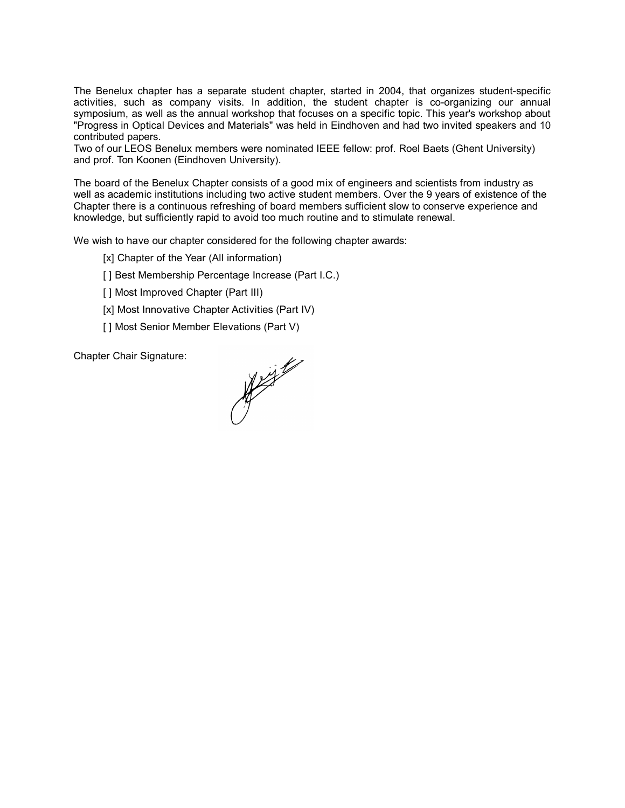The Benelux chapter has a separate student chapter, started in 2004, that organizes student-specific activities, such as company visits. In addition, the student chapter is co-organizing our annual symposium, as well as the annual workshop that focuses on a specific topic. This year's workshop about "Progress in Optical Devices and Materials" was held in Eindhoven and had two invited speakers and 10 contributed papers.

Two of our LEOS Benelux members were nominated IEEE fellow: prof. Roel Baets (Ghent University) and prof. Ton Koonen (Eindhoven University).

The board of the Benelux Chapter consists of a good mix of engineers and scientists from industry as well as academic institutions including two active student members. Over the 9 years of existence of the Chapter there is a continuous refreshing of board members sufficient slow to conserve experience and knowledge, but sufficiently rapid to avoid too much routine and to stimulate renewal.

We wish to have our chapter considered for the following chapter awards:

[x] Chapter of the Year (All information)

[] Best Membership Percentage Increase (Part I.C.)

[] Most Improved Chapter (Part III)

- [x] Most Innovative Chapter Activities (Part IV)
- [ ] Most Senior Member Elevations (Part V)

Chapter Chair Signature:

Not the form of the form of the form of the form of the form of the form of the form of the form of the form o<br>Although the form of the form of the form of the form of the form of the form of the form of the form of the fo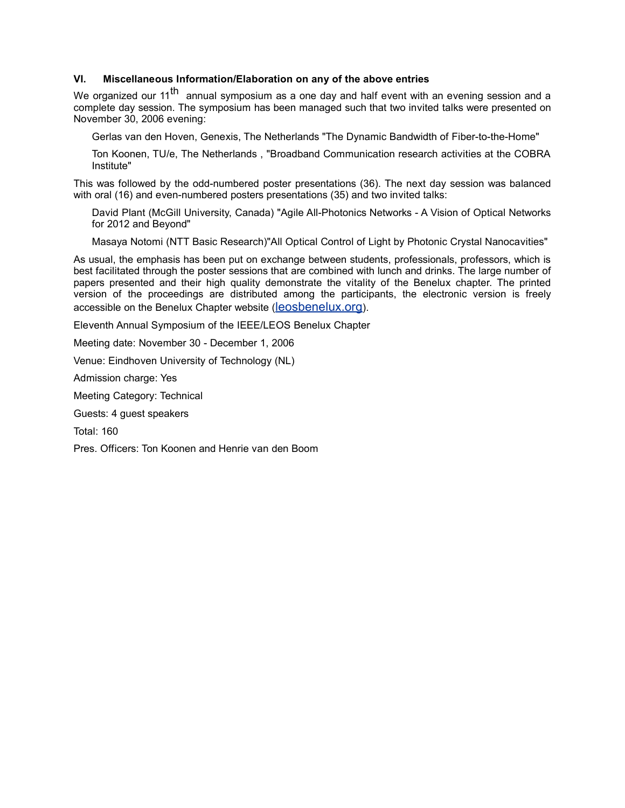## **VI. Miscellaneous Information/Elaboration on any of the above entries**

We organized our 11<sup>th</sup> annual symposium as a one day and half event with an evening session and a complete day session. The symposium has been managed such that two invited talks were presented on November 30, 2006 evening:

Gerlas van den Hoven, Genexis, The Netherlands "The Dynamic Bandwidth of Fiber-to-the-Home"

Ton Koonen, TU/e, The Netherlands , "Broadband Communication research activities at the COBRA Institute"

This was followed by the odd-numbered poster presentations (36). The next day session was balanced with oral (16) and even-numbered posters presentations (35) and two invited talks:

David Plant (McGill University, Canada) "Agile All-Photonics Networks - A Vision of Optical Networks for 2012 and Beyond"

Masaya Notomi (NTT Basic Research)"All Optical Control of Light by Photonic Crystal Nanocavities"

As usual, the emphasis has been put on exchange between students, professionals, professors, which is best facilitated through the poster sessions that are combined with lunch and drinks. The large number of papers presented and their high quality demonstrate the vitality of the Benelux chapter. The printed version of the proceedings are distributed among the participants, the electronic version is freely accessible on the Benelux Chapter website ([leosbenelux.org](http://leosbenelux.org/)).

Eleventh Annual Symposium of the IEEE/LEOS Benelux Chapter

Meeting date: November 30 - December 1, 2006

Venue: Eindhoven University of Technology (NL)

Admission charge: Yes

Meeting Category: Technical

Guests: 4 guest speakers

Total: 160

Pres. Officers: Ton Koonen and Henrie van den Boom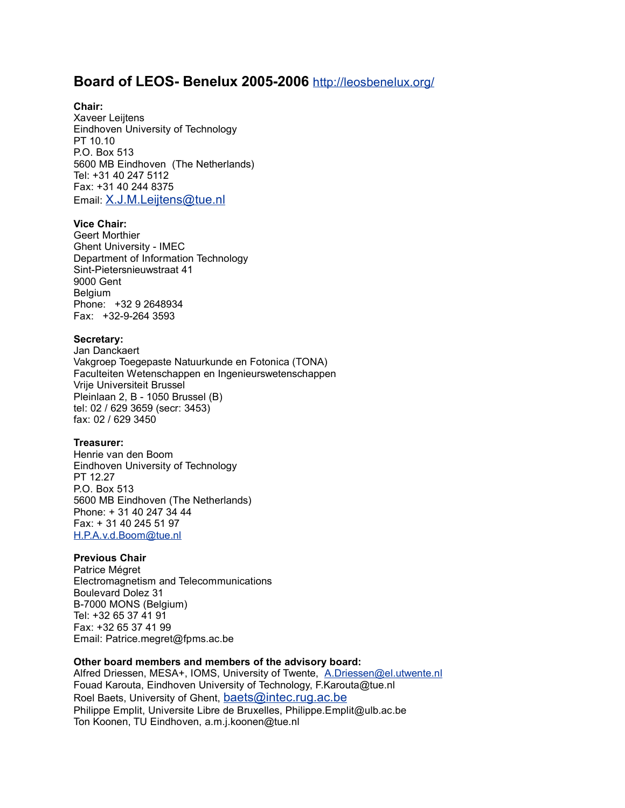# **Board of LEOS- Benelux 2005-2006** <http://leosbenelux.org/>

## **Chair:**

Xaveer Leijtens Eindhoven University of Technology PT 10.10 P.O. Box 513 5600 MB Eindhoven (The Netherlands) Tel: +31 40 247 5112 Fax: +31 40 244 8375 Email: [X.J.M.Leijtens@tue.nl](mailto:X.J.M.Leijtens@tue.nl)

#### **Vice Chair:**

Geert Morthier Ghent University - IMEC Department of Information Technology Sint-Pietersnieuwstraat 41 9000 Gent Belgium Phone: +32 9 2648934 Fax: +32-9-264 3593

#### **Secretary:**

Jan Danckaert Vakgroep Toegepaste Natuurkunde en Fotonica (TONA) Faculteiten Wetenschappen en Ingenieurswetenschappen Vrije Universiteit Brussel Pleinlaan 2, B - 1050 Brussel (B) tel: 02 / 629 3659 (secr: 3453) fax: 02 / 629 3450

#### **Treasurer:**

Henrie van den Boom Eindhoven University of Technology PT 12.27 P.O. Box 513 5600 MB Eindhoven (The Netherlands) Phone: + 31 40 247 34 44 Fax: + 31 40 245 51 97 [H.P.A.v.d.Boom@tue.nl](mailto:H.P.A.v.d.Boom@tue.nl)

## **Previous Chair**

Patrice Mégret Electromagnetism and Telecommunications Boulevard Dolez 31 B-7000 MONS (Belgium) Tel: +32 65 37 41 91 Fax: +32 65 37 41 99 Email: Patrice.megret@fpms.ac.be

#### **Other board members and members of the advisory board:**

Alfred Driessen, MESA+, IOMS, University of Twente, [A.Driessen@el.utwente.nl](mailto:A.Driessen@el.utwente.nl) Fouad Karouta, Eindhoven University of Technology, F.Karouta@tue.nl Roel Baets, University of Ghent, [baets@intec.rug.ac.be](mailto:baets@intec.rug.ac.be) Philippe Emplit, Universite Libre de Bruxelles, Philippe.Emplit@ulb.ac.be Ton Koonen, TU Eindhoven, a.m.j.koonen@tue.nl